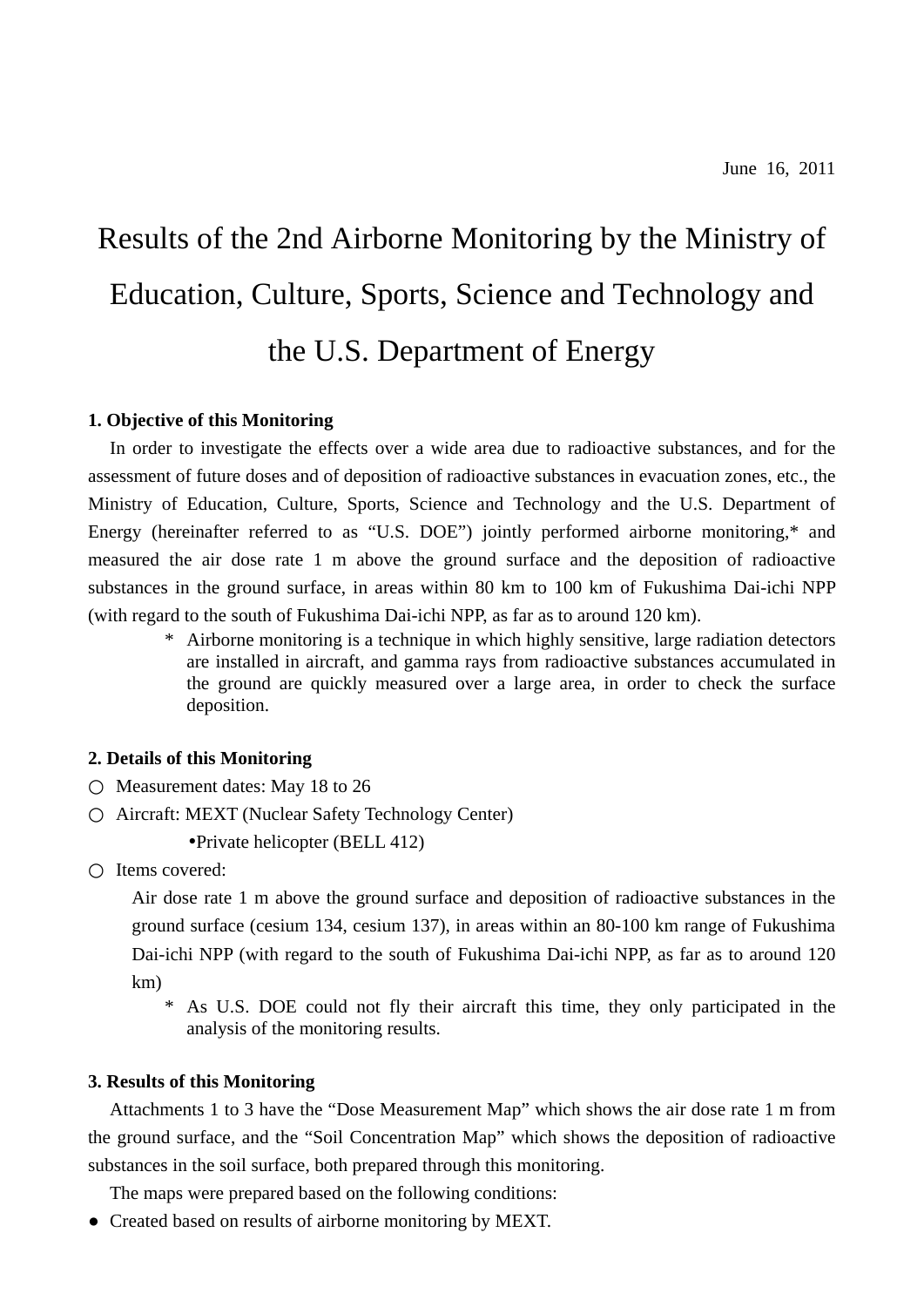# Results of the 2nd Airborne Monitoring by the Ministry of Education, Culture, Sports, Science and Technology and the U.S. Department of Energy

### **1. Objective of this Monitoring**

In order to investigate the effects over a wide area due to radioactive substances, and for the assessment of future doses and of deposition of radioactive substances in evacuation zones, etc., the Ministry of Education, Culture, Sports, Science and Technology and the U.S. Department of Energy (hereinafter referred to as "U.S. DOE") jointly performed airborne monitoring,\* and measured the air dose rate 1 m above the ground surface and the deposition of radioactive substances in the ground surface, in areas within 80 km to 100 km of Fukushima Dai-ichi NPP (with regard to the south of Fukushima Dai-ichi NPP, as far as to around 120 km).

> \* Airborne monitoring is a technique in which highly sensitive, large radiation detectors are installed in aircraft, and gamma rays from radioactive substances accumulated in the ground are quickly measured over a large area, in order to check the surface deposition.

#### **2. Details of this Monitoring**

Measurement dates: May 18 to 26

Aircraft: MEXT (Nuclear Safety Technology Center)

•Private helicopter (BELL 412)

Items covered:

Air dose rate 1 m above the ground surface and deposition of radioactive substances in the ground surface (cesium 134, cesium 137), in areas within an 80-100 km range of Fukushima Dai-ichi NPP (with regard to the south of Fukushima Dai-ichi NPP, as far as to around 120 km)

\* As U.S. DOE could not fly their aircraft this time, they only participated in the analysis of the monitoring results.

#### **3. Results of this Monitoring**

Attachments 1 to 3 have the "Dose Measurement Map" which shows the air dose rate 1 m from the ground surface, and the "Soil Concentration Map" which shows the deposition of radioactive substances in the soil surface, both prepared through this monitoring.

The maps were prepared based on the following conditions:

● Created based on results of airborne monitoring by MEXT.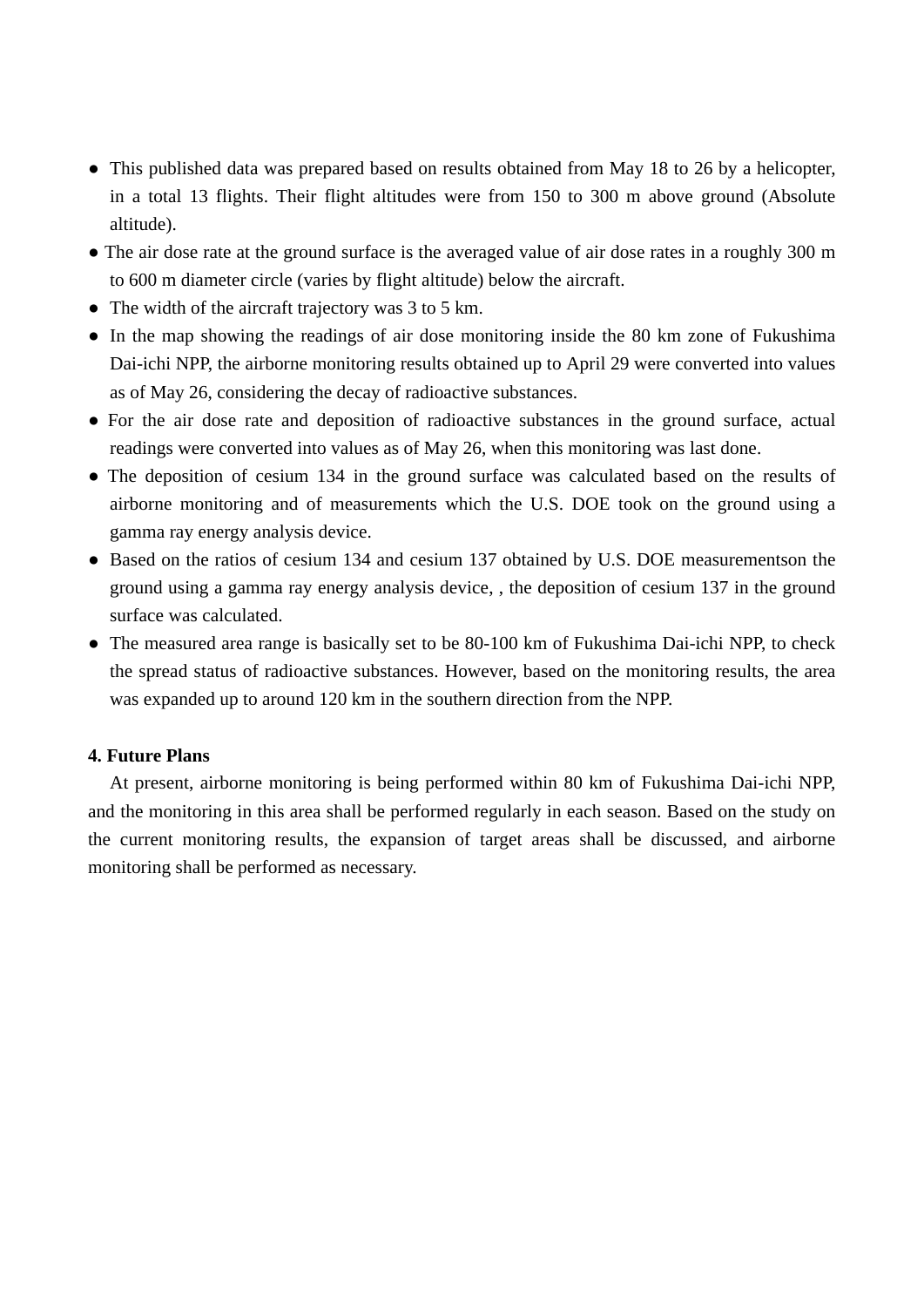- This published data was prepared based on results obtained from May 18 to 26 by a helicopter, in a total 13 flights. Their flight altitudes were from 150 to 300 m above ground (Absolute altitude).
- The air dose rate at the ground surface is the averaged value of air dose rates in a roughly 300 m to 600 m diameter circle (varies by flight altitude) below the aircraft.
- The width of the aircraft trajectory was 3 to 5 km.
- In the map showing the readings of air dose monitoring inside the 80 km zone of Fukushima Dai-ichi NPP, the airborne monitoring results obtained up to April 29 were converted into values as of May 26, considering the decay of radioactive substances.
- For the air dose rate and deposition of radioactive substances in the ground surface, actual readings were converted into values as of May 26, when this monitoring was last done.
- The deposition of cesium 134 in the ground surface was calculated based on the results of airborne monitoring and of measurements which the U.S. DOE took on the ground using a gamma ray energy analysis device.
- Based on the ratios of cesium 134 and cesium 137 obtained by U.S. DOE measurementson the ground using a gamma ray energy analysis device, , the deposition of cesium 137 in the ground surface was calculated.
- The measured area range is basically set to be 80-100 km of Fukushima Dai-ichi NPP, to check the spread status of radioactive substances. However, based on the monitoring results, the area was expanded up to around 120 km in the southern direction from the NPP.

## **4. Future Plans**

At present, airborne monitoring is being performed within 80 km of Fukushima Dai-ichi NPP, and the monitoring in this area shall be performed regularly in each season. Based on the study on the current monitoring results, the expansion of target areas shall be discussed, and airborne monitoring shall be performed as necessary.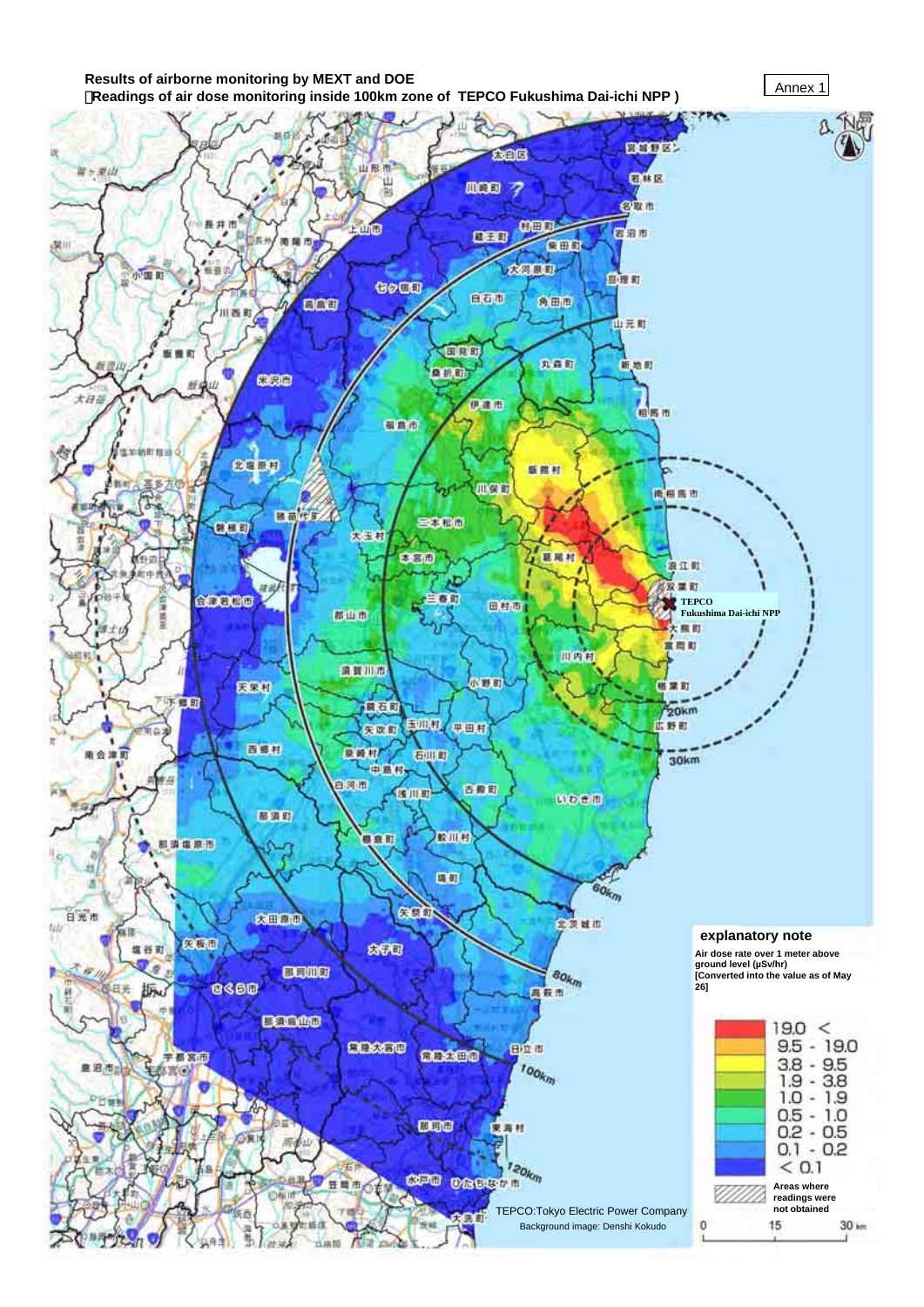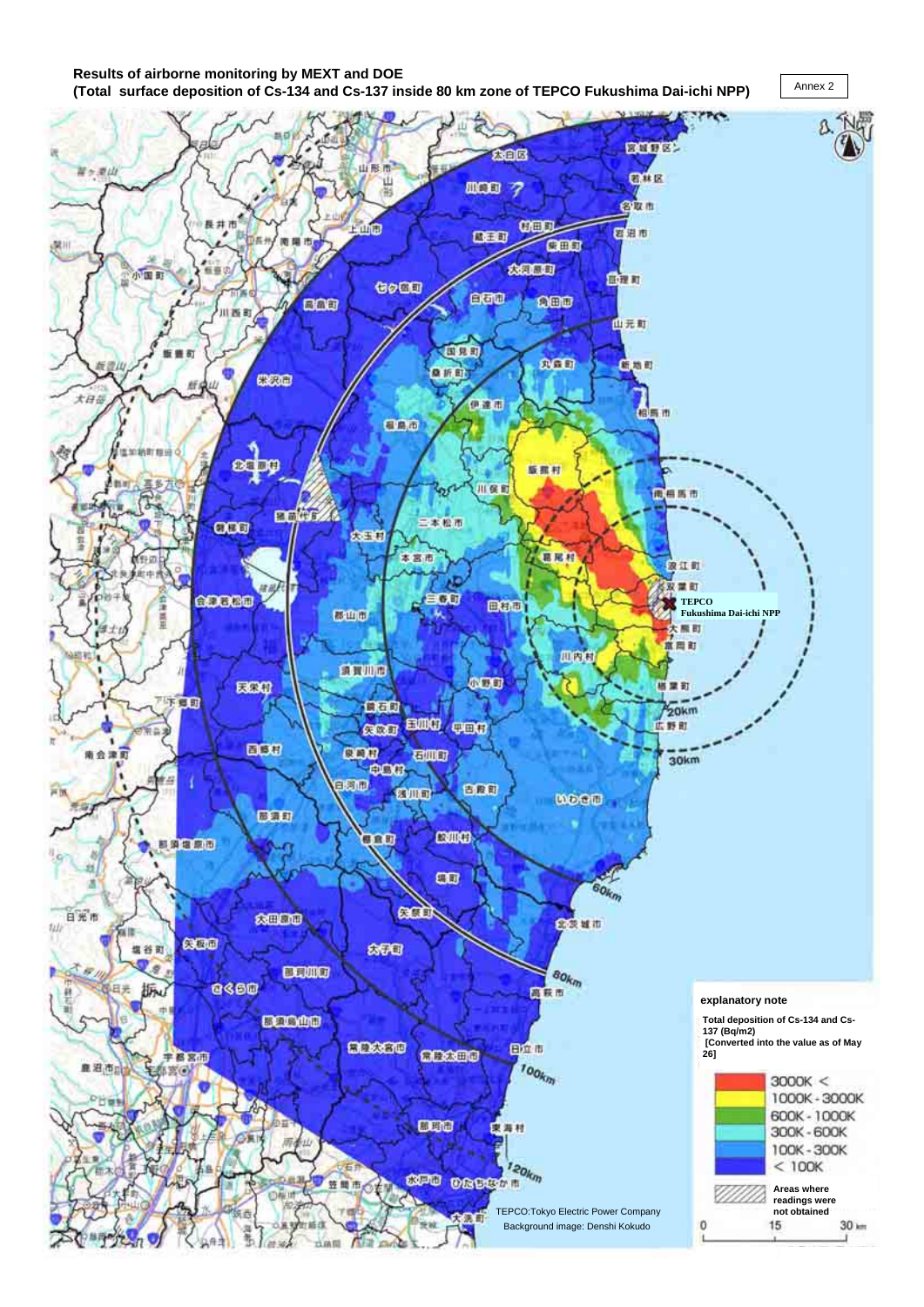#### **Results of airborne monitoring by MEXT and DOE (Total surface deposition of Cs-134 and Cs-137 inside 80 km zone of TEPCO Fukushima Dai-ichi NPP)**



Annex 2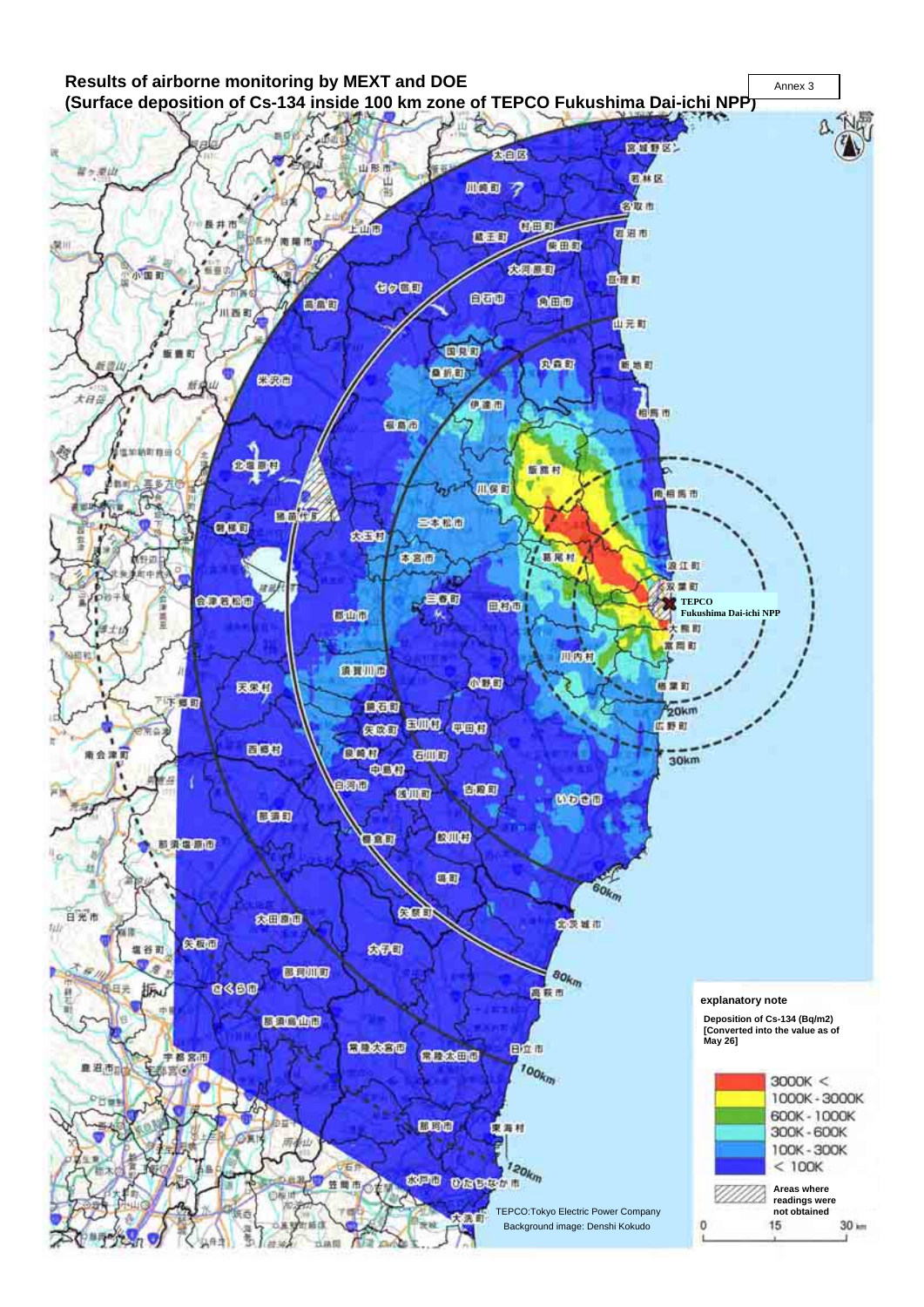